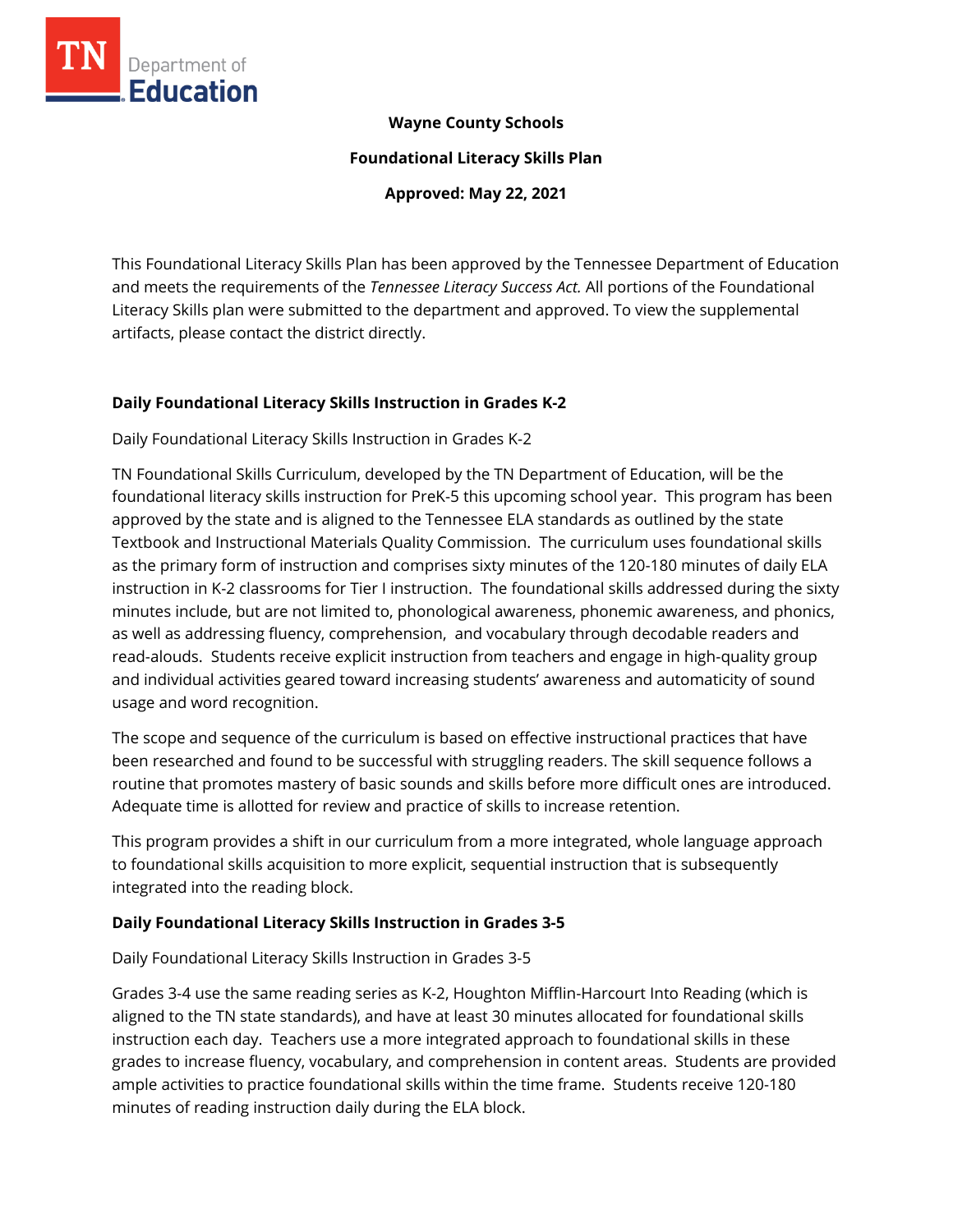

### **Wayne County Schools**

**Foundational Literacy Skills Plan**

**Approved: May 22, 2021**

This Foundational Literacy Skills Plan has been approved by the Tennessee Department of Education and meets the requirements of the *Tennessee Literacy Success Act.* All portions of the Foundational Literacy Skills plan were submitted to the department and approved. To view the supplemental artifacts, please contact the district directly.

## **Daily Foundational Literacy Skills Instruction in Grades K-2**

Daily Foundational Literacy Skills Instruction in Grades K-2

TN Foundational Skills Curriculum, developed by the TN Department of Education, will be the foundational literacy skills instruction for PreK-5 this upcoming school year. This program has been approved by the state and is aligned to the Tennessee ELA standards as outlined by the state Textbook and Instructional Materials Quality Commission. The curriculum uses foundational skills as the primary form of instruction and comprises sixty minutes of the 120-180 minutes of daily ELA instruction in K-2 classrooms for Tier I instruction. The foundational skills addressed during the sixty minutes include, but are not limited to, phonological awareness, phonemic awareness, and phonics, as well as addressing fluency, comprehension, and vocabulary through decodable readers and read-alouds. Students receive explicit instruction from teachers and engage in high-quality group and individual activities geared toward increasing students' awareness and automaticity of sound usage and word recognition.

The scope and sequence of the curriculum is based on effective instructional practices that have been researched and found to be successful with struggling readers. The skill sequence follows a routine that promotes mastery of basic sounds and skills before more difficult ones are introduced. Adequate time is allotted for review and practice of skills to increase retention.

This program provides a shift in our curriculum from a more integrated, whole language approach to foundational skills acquisition to more explicit, sequential instruction that is subsequently integrated into the reading block.

#### **Daily Foundational Literacy Skills Instruction in Grades 3-5**

Daily Foundational Literacy Skills Instruction in Grades 3-5

Grades 3-4 use the same reading series as K-2, Houghton Mifflin-Harcourt Into Reading (which is aligned to the TN state standards), and have at least 30 minutes allocated for foundational skills instruction each day. Teachers use a more integrated approach to foundational skills in these grades to increase fluency, vocabulary, and comprehension in content areas. Students are provided ample activities to practice foundational skills within the time frame. Students receive 120-180 minutes of reading instruction daily during the ELA block.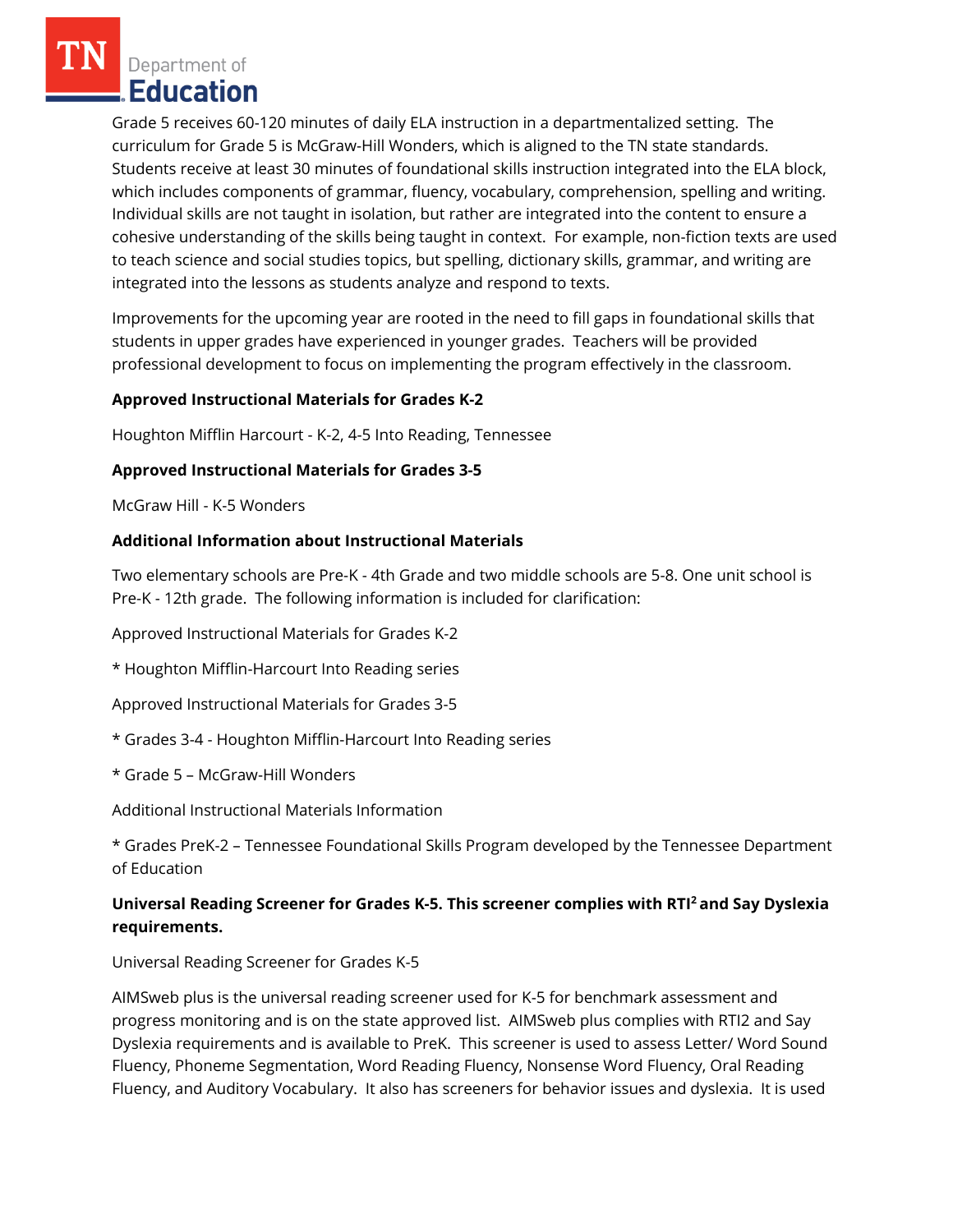Department of Education

Grade 5 receives 60-120 minutes of daily ELA instruction in a departmentalized setting. The curriculum for Grade 5 is McGraw-Hill Wonders, which is aligned to the TN state standards. Students receive at least 30 minutes of foundational skills instruction integrated into the ELA block, which includes components of grammar, fluency, vocabulary, comprehension, spelling and writing. Individual skills are not taught in isolation, but rather are integrated into the content to ensure a cohesive understanding of the skills being taught in context. For example, non-fiction texts are used to teach science and social studies topics, but spelling, dictionary skills, grammar, and writing are integrated into the lessons as students analyze and respond to texts.

Improvements for the upcoming year are rooted in the need to fill gaps in foundational skills that students in upper grades have experienced in younger grades. Teachers will be provided professional development to focus on implementing the program effectively in the classroom.

## **Approved Instructional Materials for Grades K-2**

Houghton Mifflin Harcourt - K-2, 4-5 Into Reading, Tennessee

#### **Approved Instructional Materials for Grades 3-5**

McGraw Hill - K-5 Wonders

#### **Additional Information about Instructional Materials**

Two elementary schools are Pre-K - 4th Grade and two middle schools are 5-8. One unit school is Pre-K - 12th grade. The following information is included for clarification:

Approved Instructional Materials for Grades K-2

\* Houghton Mifflin-Harcourt Into Reading series

Approved Instructional Materials for Grades 3-5

- \* Grades 3-4 Houghton Mifflin-Harcourt Into Reading series
- \* Grade 5 McGraw-Hill Wonders

Additional Instructional Materials Information

\* Grades PreK-2 – Tennessee Foundational Skills Program developed by the Tennessee Department of Education

## **Universal Reading Screener for Grades K-5. This screener complies with RTI<sup>2</sup>and Say Dyslexia requirements.**

Universal Reading Screener for Grades K-5

AIMSweb plus is the universal reading screener used for K-5 for benchmark assessment and progress monitoring and is on the state approved list. AIMSweb plus complies with RTI2 and Say Dyslexia requirements and is available to PreK. This screener is used to assess Letter/ Word Sound Fluency, Phoneme Segmentation, Word Reading Fluency, Nonsense Word Fluency, Oral Reading Fluency, and Auditory Vocabulary. It also has screeners for behavior issues and dyslexia. It is used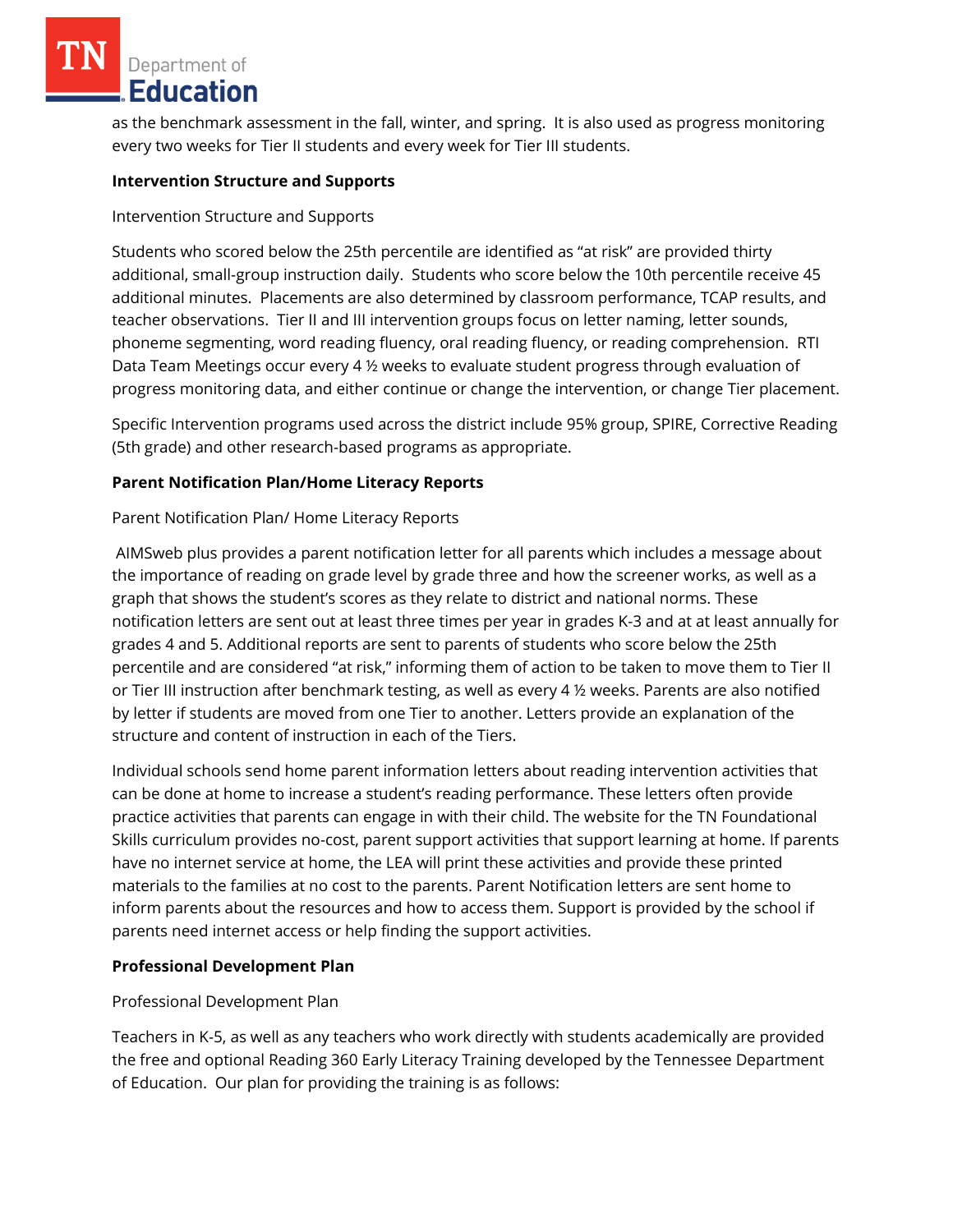Department of Education

as the benchmark assessment in the fall, winter, and spring. It is also used as progress monitoring every two weeks for Tier II students and every week for Tier III students.

#### **Intervention Structure and Supports**

Intervention Structure and Supports

Students who scored below the 25th percentile are identified as "at risk" are provided thirty additional, small-group instruction daily. Students who score below the 10th percentile receive 45 additional minutes. Placements are also determined by classroom performance, TCAP results, and teacher observations. Tier II and III intervention groups focus on letter naming, letter sounds, phoneme segmenting, word reading fluency, oral reading fluency, or reading comprehension. RTI Data Team Meetings occur every 4 ½ weeks to evaluate student progress through evaluation of progress monitoring data, and either continue or change the intervention, or change Tier placement.

Specific Intervention programs used across the district include 95% group, SPIRE, Corrective Reading (5th grade) and other research-based programs as appropriate.

# **Parent Notification Plan/Home Literacy Reports**

## Parent Notification Plan/ Home Literacy Reports

AIMSweb plus provides a parent notification letter for all parents which includes a message about the importance of reading on grade level by grade three and how the screener works, as well as a graph that shows the student's scores as they relate to district and national norms. These notification letters are sent out at least three times per year in grades K-3 and at at least annually for grades 4 and 5. Additional reports are sent to parents of students who score below the 25th percentile and are considered "at risk," informing them of action to be taken to move them to Tier II or Tier III instruction after benchmark testing, as well as every 4 ½ weeks. Parents are also notified by letter if students are moved from one Tier to another. Letters provide an explanation of the structure and content of instruction in each of the Tiers.

Individual schools send home parent information letters about reading intervention activities that can be done at home to increase a student's reading performance. These letters often provide practice activities that parents can engage in with their child. The website for the TN Foundational Skills curriculum provides no-cost, parent support activities that support learning at home. If parents have no internet service at home, the LEA will print these activities and provide these printed materials to the families at no cost to the parents. Parent Notification letters are sent home to inform parents about the resources and how to access them. Support is provided by the school if parents need internet access or help finding the support activities.

# **Professional Development Plan**

#### Professional Development Plan

Teachers in K-5, as well as any teachers who work directly with students academically are provided the free and optional Reading 360 Early Literacy Training developed by the Tennessee Department of Education. Our plan for providing the training is as follows: